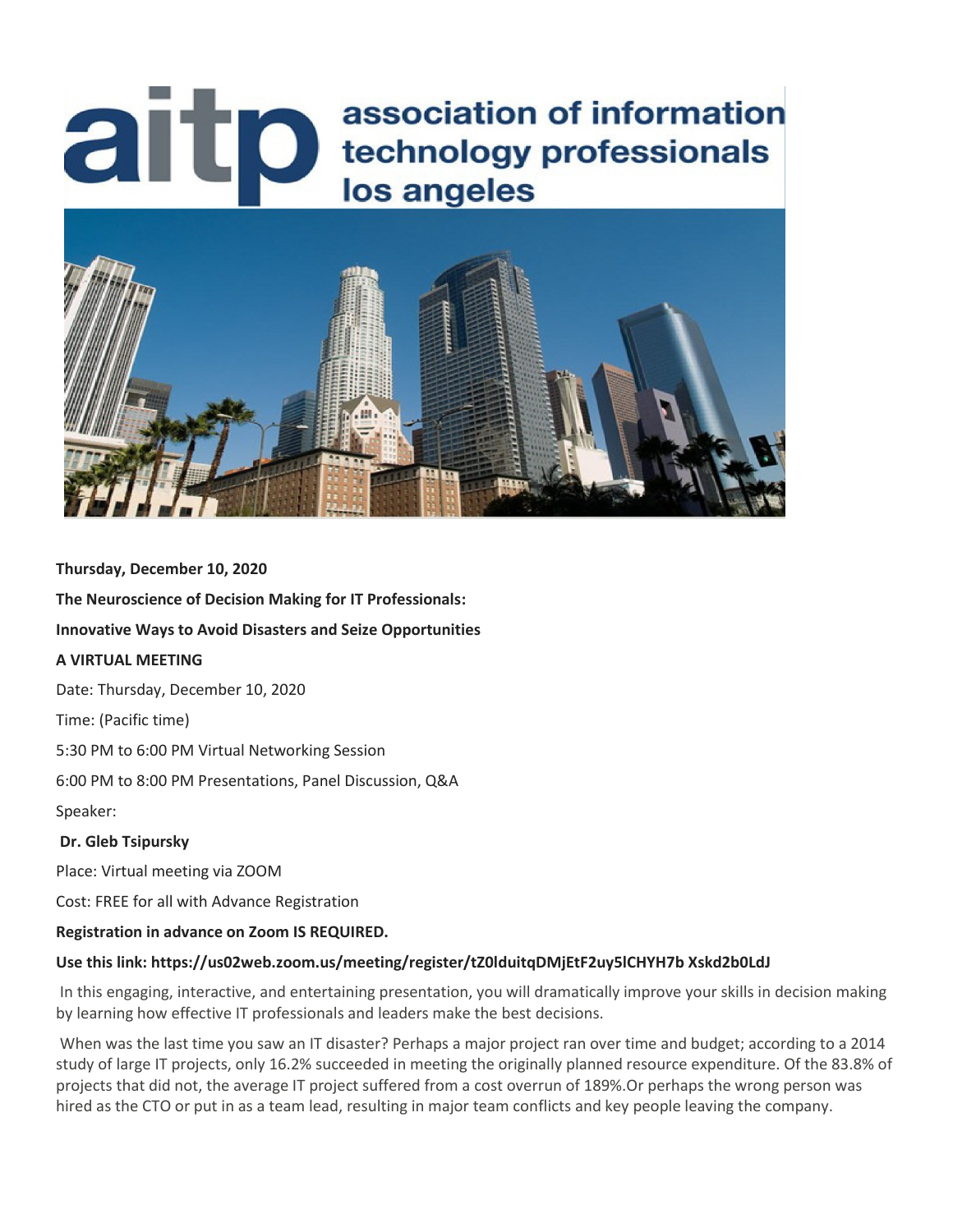# aitp association of information technology professionals los angeles



#### **Thursday, December 10, 2020**

**The Neuroscience of Decision Making for IT Professionals:**

**Innovative Ways to Avoid Disasters and Seize Opportunities**

## **A VIRTUAL MEETING**

Date: Thursday, December 10, 2020

Time: (Pacific time)

5:30 PM to 6:00 PM Virtual Networking Session

6:00 PM to 8:00 PM Presentations, Panel Discussion, Q&A

Speaker:

#### **Dr. Gleb Tsipursky**

Place: Virtual meeting via ZOOM

Cost: FREE for all with Advance Registration

#### **Registration in advance on Zoom IS REQUIRED.**

#### **Use this link: https://us02web.zoom.us/meeting/register/tZ0lduitqDMjEtF2uy5lCHYH7b Xskd2b0LdJ**

In this engaging, interactive, and entertaining presentation, you will dramatically improve your skills in decision making by learning how effective IT professionals and leaders make the best decisions.

When was the last time you saw an IT disaster? Perhaps a major project ran over time and budget; according to a 2014 study of large IT projects, only 16.2% succeeded in meeting the originally planned resource expenditure. Of the 83.8% of projects that did not, the average IT project suffered from a cost overrun of 189%.Or perhaps the wrong person was hired as the CTO or put in as a team lead, resulting in major team conflicts and key people leaving the company.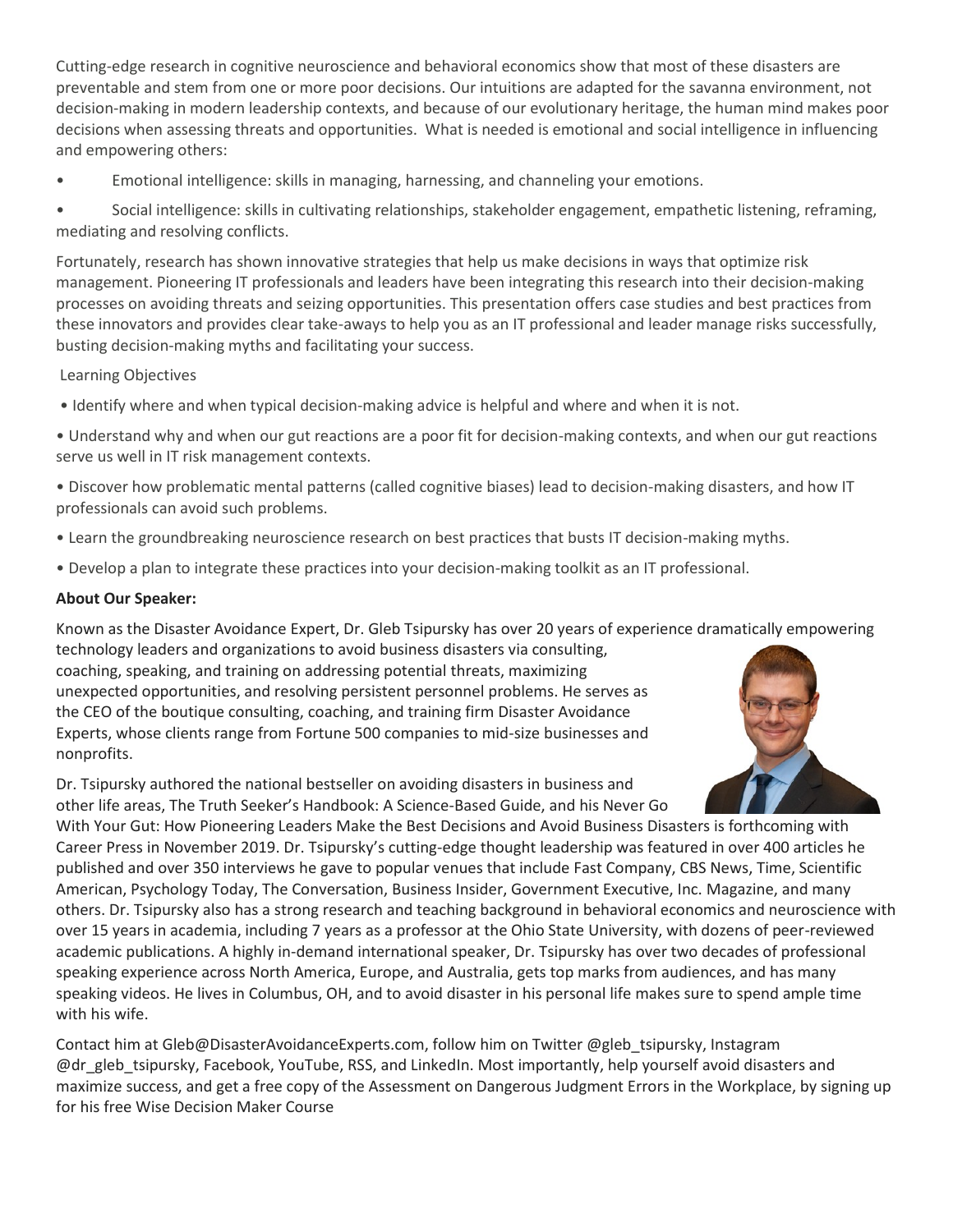Cutting-edge research in cognitive neuroscience and behavioral economics show that most of these disasters are preventable and stem from one or more poor decisions. Our intuitions are adapted for the savanna environment, not decision-making in modern leadership contexts, and because of our evolutionary heritage, the human mind makes poor decisions when assessing threats and opportunities. What is needed is emotional and social intelligence in influencing and empowering others:

• Emotional intelligence: skills in managing, harnessing, and channeling your emotions.

• Social intelligence: skills in cultivating relationships, stakeholder engagement, empathetic listening, reframing, mediating and resolving conflicts.

Fortunately, research has shown innovative strategies that help us make decisions in ways that optimize risk management. Pioneering IT professionals and leaders have been integrating this research into their decision-making processes on avoiding threats and seizing opportunities. This presentation offers case studies and best practices from these innovators and provides clear take-aways to help you as an IT professional and leader manage risks successfully, busting decision-making myths and facilitating your success.

# Learning Objectives

• Identify where and when typical decision-making advice is helpful and where and when it is not.

- Understand why and when our gut reactions are a poor fit for decision-making contexts, and when our gut reactions serve us well in IT risk management contexts.
- Discover how problematic mental patterns (called cognitive biases) lead to decision-making disasters, and how IT professionals can avoid such problems.
- Learn the groundbreaking neuroscience research on best practices that busts IT decision-making myths.
- Develop a plan to integrate these practices into your decision-making toolkit as an IT professional.

#### **About Our Speaker:**

Known as the Disaster Avoidance Expert, Dr. Gleb Tsipursky has over 20 years of experience dramatically empowering technology leaders and organizations to avoid business disasters via consulting,

coaching, speaking, and training on addressing potential threats, maximizing unexpected opportunities, and resolving persistent personnel problems. He serves as the CEO of the boutique consulting, coaching, and training firm Disaster Avoidance Experts, whose clients range from Fortune 500 companies to mid-size businesses and nonprofits.

Dr. Tsipursky authored the national bestseller on avoiding disasters in business and other life areas, The Truth Seeker's Handbook: A Science-Based Guide, and his Never Go



With Your Gut: How Pioneering Leaders Make the Best Decisions and Avoid Business Disasters is forthcoming with Career Press in November 2019. Dr. Tsipursky's cutting-edge thought leadership was featured in over 400 articles he published and over 350 interviews he gave to popular venues that include Fast Company, CBS News, Time, Scientific American, Psychology Today, The Conversation, Business Insider, Government Executive, Inc. Magazine, and many others. Dr. Tsipursky also has a strong research and teaching background in behavioral economics and neuroscience with over 15 years in academia, including 7 years as a professor at the Ohio State University, with dozens of peer-reviewed academic publications. A highly in-demand international speaker, Dr. Tsipursky has over two decades of professional speaking experience across North America, Europe, and Australia, gets top marks from audiences, and has many speaking videos. He lives in Columbus, OH, and to avoid disaster in his personal life makes sure to spend ample time with his wife.

Contact him at Gleb@DisasterAvoidanceExperts.com, follow him on Twitter @gleb\_tsipursky, Instagram @dr\_gleb\_tsipursky, Facebook, YouTube, RSS, and LinkedIn. Most importantly, help yourself avoid disasters and maximize success, and get a free copy of the Assessment on Dangerous Judgment Errors in the Workplace, by signing up for his free Wise Decision Maker Course